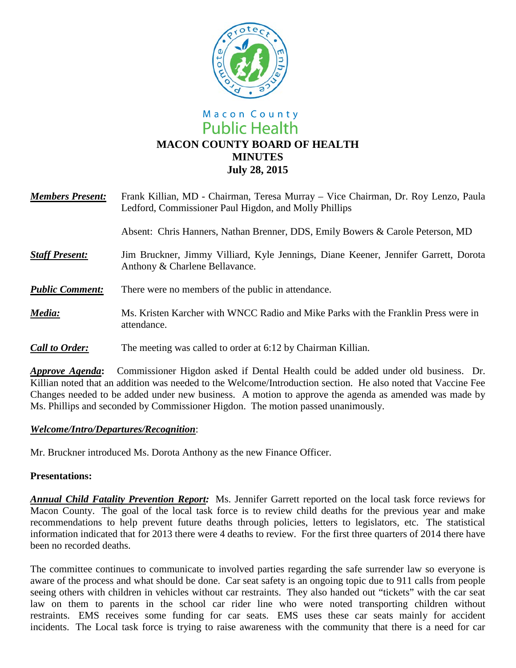

# Macon County **Public Health MACON COUNTY BOARD OF HEALTH MINUTES July 28, 2015**

| <b>Members Present:</b> | Frank Killian, MD - Chairman, Teresa Murray – Vice Chairman, Dr. Roy Lenzo, Paula<br>Ledford, Commissioner Paul Higdon, and Molly Phillips |
|-------------------------|--------------------------------------------------------------------------------------------------------------------------------------------|
|                         | Absent: Chris Hanners, Nathan Brenner, DDS, Emily Bowers & Carole Peterson, MD                                                             |
| <b>Staff Present:</b>   | Jim Bruckner, Jimmy Villiard, Kyle Jennings, Diane Keener, Jennifer Garrett, Dorota<br>Anthony & Charlene Bellavance.                      |
| <b>Public Comment:</b>  | There were no members of the public in attendance.                                                                                         |
| Media:                  | Ms. Kristen Karcher with WNCC Radio and Mike Parks with the Franklin Press were in<br>attendance.                                          |
| <b>Call to Order:</b>   | The meeting was called to order at 6:12 by Chairman Killian.                                                                               |

*Approve Agenda***:** Commissioner Higdon asked if Dental Health could be added under old business. Dr. Killian noted that an addition was needed to the Welcome/Introduction section. He also noted that Vaccine Fee Changes needed to be added under new business.A motion to approve the agenda as amended was made by Ms. Phillips and seconded by Commissioner Higdon. The motion passed unanimously.

#### *Welcome/Intro/Departures/Recognition*:

Mr. Bruckner introduced Ms. Dorota Anthony as the new Finance Officer.

#### **Presentations:**

*Annual Child Fatality Prevention Report:* Ms. Jennifer Garrett reported on the local task force reviews for Macon County. The goal of the local task force is to review child deaths for the previous year and make recommendations to help prevent future deaths through policies, letters to legislators, etc. The statistical information indicated that for 2013 there were 4 deaths to review. For the first three quarters of 2014 there have been no recorded deaths.

The committee continues to communicate to involved parties regarding the safe surrender law so everyone is aware of the process and what should be done. Car seat safety is an ongoing topic due to 911 calls from people seeing others with children in vehicles without car restraints. They also handed out "tickets" with the car seat law on them to parents in the school car rider line who were noted transporting children without restraints. EMS receives some funding for car seats. EMS uses these car seats mainly for accident incidents. The Local task force is trying to raise awareness with the community that there is a need for car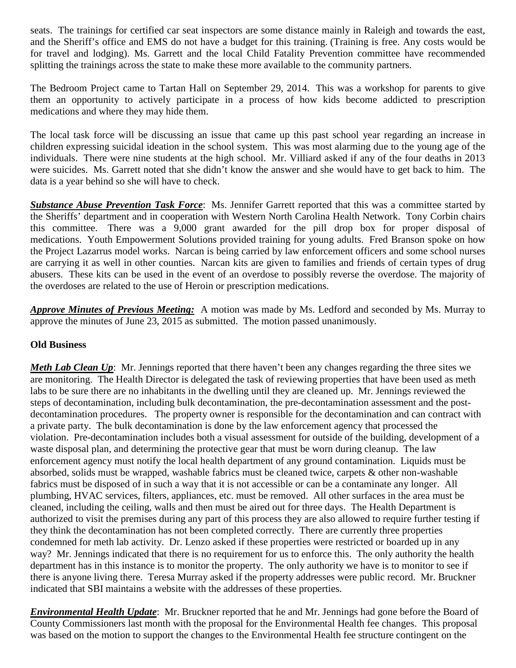seats. The trainings for certified car seat inspectors are some distance mainly in Raleigh and towards the east, and the Sheriff's office and EMS do not have a budget for this training. (Training is free. Any costs would be for travel and lodging). Ms. Garrett and the local Child Fatality Prevention committee have recommended splitting the trainings across the state to make these more available to the community partners.

The Bedroom Project came to Tartan Hall on September 29, 2014. This was a workshop for parents to give them an opportunity to actively participate in a process of how kids become addicted to prescription medications and where they may hide them.

The local task force will be discussing an issue that came up this past school year regarding an increase in children expressing suicidal ideation in the school system. This was most alarming due to the young age of the individuals. There were nine students at the high school. Mr. Villiard asked if any of the four deaths in 2013 were suicides. Ms. Garrett noted that she didn't know the answer and she would have to get back to him. The data is a year behind so she will have to check.

*Substance Abuse Prevention Task Force*: Ms. Jennifer Garrett reported that this was a committee started by the Sheriffs' department and in cooperation with Western North Carolina Health Network. Tony Corbin chairs this committee. There was a 9,000 grant awarded for the pill drop box for proper disposal of medications. Youth Empowerment Solutions provided training for young adults. Fred Branson spoke on how the Project Lazarrus model works. Narcan is being carried by law enforcement officers and some school nurses are carrying it as well in other counties. Narcan kits are given to families and friends of certain types of drug abusers. These kits can be used in the event of an overdose to possibly reverse the overdose. The majority of the overdoses are related to the use of Heroin or prescription medications.

*Approve Minutes of Previous Meeting:* A motion was made by Ms. Ledford and seconded by Ms. Murray to approve the minutes of June 23, 2015 as submitted. The motion passed unanimously.

## **Old Business**

*Meth Lab Clean Up*: Mr. Jennings reported that there haven't been any changes regarding the three sites we are monitoring. The Health Director is delegated the task of reviewing properties that have been used as meth labs to be sure there are no inhabitants in the dwelling until they are cleaned up. Mr. Jennings reviewed the steps of decontamination, including bulk decontamination, the pre-decontamination assessment and the postdecontamination procedures. The property owner is responsible for the decontamination and can contract with a private party. The bulk decontamination is done by the law enforcement agency that processed the violation. Pre-decontamination includes both a visual assessment for outside of the building, development of a waste disposal plan, and determining the protective gear that must be worn during cleanup. The law enforcement agency must notify the local health department of any ground contamination. Liquids must be absorbed, solids must be wrapped, washable fabrics must be cleaned twice, carpets & other non-washable fabrics must be disposed of in such a way that it is not accessible or can be a contaminate any longer. All plumbing, HVAC services, filters, appliances, etc. must be removed. All other surfaces in the area must be cleaned, including the ceiling, walls and then must be aired out for three days. The Health Department is authorized to visit the premises during any part of this process they are also allowed to require further testing if they think the decontamination has not been completed correctly. There are currently three properties condemned for meth lab activity. Dr. Lenzo asked if these properties were restricted or boarded up in any way? Mr. Jennings indicated that there is no requirement for us to enforce this. The only authority the health department has in this instance is to monitor the property. The only authority we have is to monitor to see if there is anyone living there. Teresa Murray asked if the property addresses were public record. Mr. Bruckner indicated that SBI maintains a website with the addresses of these properties.

*Environmental Health Update*: Mr. Bruckner reported that he and Mr. Jennings had gone before the Board of County Commissioners last month with the proposal for the Environmental Health fee changes. This proposal was based on the motion to support the changes to the Environmental Health fee structure contingent on the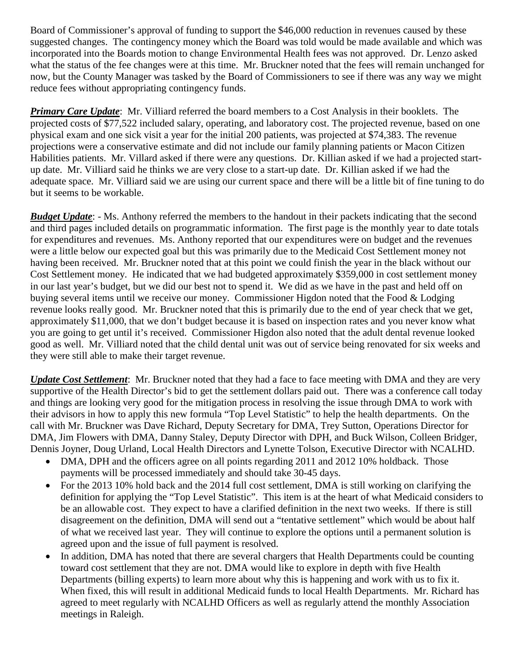Board of Commissioner's approval of funding to support the \$46,000 reduction in revenues caused by these suggested changes. The contingency money which the Board was told would be made available and which was incorporated into the Boards motion to change Environmental Health fees was not approved. Dr. Lenzo asked what the status of the fee changes were at this time. Mr. Bruckner noted that the fees will remain unchanged for now, but the County Manager was tasked by the Board of Commissioners to see if there was any way we might reduce fees without appropriating contingency funds.

*Primary Care Update*: Mr. Villiard referred the board members to a Cost Analysis in their booklets. The projected costs of \$77,522 included salary, operating, and laboratory cost. The projected revenue, based on one physical exam and one sick visit a year for the initial 200 patients, was projected at \$74,383. The revenue projections were a conservative estimate and did not include our family planning patients or Macon Citizen Habilities patients. Mr. Villard asked if there were any questions. Dr. Killian asked if we had a projected startup date. Mr. Villiard said he thinks we are very close to a start-up date. Dr. Killian asked if we had the adequate space. Mr. Villiard said we are using our current space and there will be a little bit of fine tuning to do but it seems to be workable.

*Budget Update*: - Ms. Anthony referred the members to the handout in their packets indicating that the second and third pages included details on programmatic information. The first page is the monthly year to date totals for expenditures and revenues. Ms. Anthony reported that our expenditures were on budget and the revenues were a little below our expected goal but this was primarily due to the Medicaid Cost Settlement money not having been received. Mr. Bruckner noted that at this point we could finish the year in the black without our Cost Settlement money. He indicated that we had budgeted approximately \$359,000 in cost settlement money in our last year's budget, but we did our best not to spend it. We did as we have in the past and held off on buying several items until we receive our money. Commissioner Higdon noted that the Food & Lodging revenue looks really good. Mr. Bruckner noted that this is primarily due to the end of year check that we get, approximately \$11,000, that we don't budget because it is based on inspection rates and you never know what you are going to get until it's received. Commissioner Higdon also noted that the adult dental revenue looked good as well. Mr. Villiard noted that the child dental unit was out of service being renovated for six weeks and they were still able to make their target revenue.

*Update Cost Settlement*: Mr. Bruckner noted that they had a face to face meeting with DMA and they are very supportive of the Health Director's bid to get the settlement dollars paid out. There was a conference call today and things are looking very good for the mitigation process in resolving the issue through DMA to work with their advisors in how to apply this new formula "Top Level Statistic" to help the health departments. On the call with Mr. Bruckner was Dave Richard, Deputy Secretary for DMA, Trey Sutton, Operations Director for DMA, Jim Flowers with DMA, Danny Staley, Deputy Director with DPH, and Buck Wilson, Colleen Bridger, Dennis Joyner, Doug Urland, Local Health Directors and Lynette Tolson, Executive Director with NCALHD.

- DMA, DPH and the officers agree on all points regarding 2011 and 2012 10% holdback. Those payments will be processed immediately and should take 30-45 days.
- For the 2013 10% hold back and the 2014 full cost settlement, DMA is still working on clarifying the definition for applying the "Top Level Statistic". This item is at the heart of what Medicaid considers to be an allowable cost. They expect to have a clarified definition in the next two weeks. If there is still disagreement on the definition, DMA will send out a "tentative settlement" which would be about half of what we received last year. They will continue to explore the options until a permanent solution is agreed upon and the issue of full payment is resolved.
- In addition, DMA has noted that there are several chargers that Health Departments could be counting toward cost settlement that they are not. DMA would like to explore in depth with five Health Departments (billing experts) to learn more about why this is happening and work with us to fix it. When fixed, this will result in additional Medicaid funds to local Health Departments. Mr. Richard has agreed to meet regularly with NCALHD Officers as well as regularly attend the monthly Association meetings in Raleigh.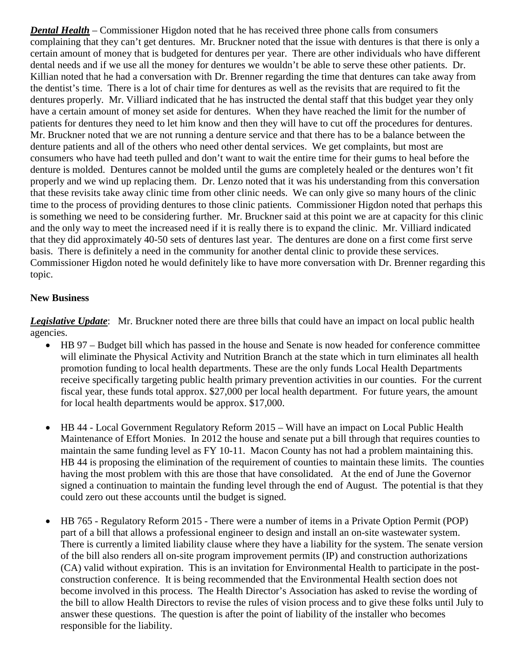*Dental Health* – Commissioner Higdon noted that he has received three phone calls from consumers complaining that they can't get dentures. Mr. Bruckner noted that the issue with dentures is that there is only a certain amount of money that is budgeted for dentures per year. There are other individuals who have different dental needs and if we use all the money for dentures we wouldn't be able to serve these other patients. Dr. Killian noted that he had a conversation with Dr. Brenner regarding the time that dentures can take away from the dentist's time. There is a lot of chair time for dentures as well as the revisits that are required to fit the dentures properly. Mr. Villiard indicated that he has instructed the dental staff that this budget year they only have a certain amount of money set aside for dentures. When they have reached the limit for the number of patients for dentures they need to let him know and then they will have to cut off the procedures for dentures. Mr. Bruckner noted that we are not running a denture service and that there has to be a balance between the denture patients and all of the others who need other dental services. We get complaints, but most are consumers who have had teeth pulled and don't want to wait the entire time for their gums to heal before the denture is molded. Dentures cannot be molded until the gums are completely healed or the dentures won't fit properly and we wind up replacing them. Dr. Lenzo noted that it was his understanding from this conversation that these revisits take away clinic time from other clinic needs. We can only give so many hours of the clinic time to the process of providing dentures to those clinic patients. Commissioner Higdon noted that perhaps this is something we need to be considering further. Mr. Bruckner said at this point we are at capacity for this clinic and the only way to meet the increased need if it is really there is to expand the clinic. Mr. Villiard indicated that they did approximately 40-50 sets of dentures last year. The dentures are done on a first come first serve basis. There is definitely a need in the community for another dental clinic to provide these services. Commissioner Higdon noted he would definitely like to have more conversation with Dr. Brenner regarding this topic.

### **New Business**

*Legislative Update*: Mr. Bruckner noted there are three bills that could have an impact on local public health agencies.

- HB 97 Budget bill which has passed in the house and Senate is now headed for conference committee will eliminate the Physical Activity and Nutrition Branch at the state which in turn eliminates all health promotion funding to local health departments. These are the only funds Local Health Departments receive specifically targeting public health primary prevention activities in our counties. For the current fiscal year, these funds total approx. \$27,000 per local health department. For future years, the amount for local health departments would be approx. \$17,000.
- HB 44 Local Government Regulatory Reform 2015 Will have an impact on Local Public Health Maintenance of Effort Monies. In 2012 the house and senate put a bill through that requires counties to maintain the same funding level as FY 10-11. Macon County has not had a problem maintaining this. HB 44 is proposing the elimination of the requirement of counties to maintain these limits. The counties having the most problem with this are those that have consolidated. At the end of June the Governor signed a continuation to maintain the funding level through the end of August. The potential is that they could zero out these accounts until the budget is signed.
- HB 765 Regulatory Reform 2015 There were a number of items in a Private Option Permit (POP) part of a bill that allows a professional engineer to design and install an on-site wastewater system. There is currently a limited liability clause where they have a liability for the system. The senate version of the bill also renders all on-site program improvement permits (IP) and construction authorizations (CA) valid without expiration. This is an invitation for Environmental Health to participate in the postconstruction conference. It is being recommended that the Environmental Health section does not become involved in this process. The Health Director's Association has asked to revise the wording of the bill to allow Health Directors to revise the rules of vision process and to give these folks until July to answer these questions. The question is after the point of liability of the installer who becomes responsible for the liability.